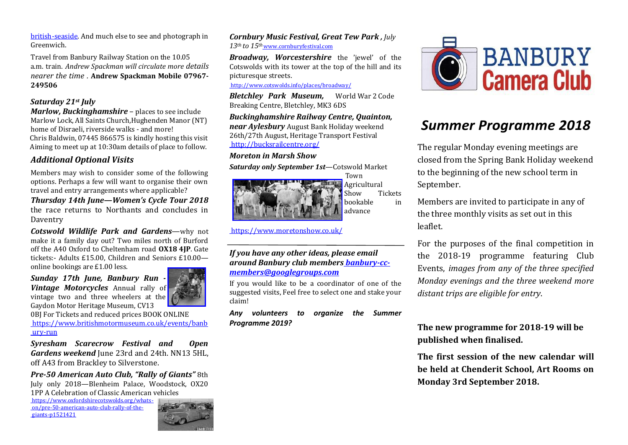[british-seaside. A](https://www.rmg.co.uk/see-do/great-british-seaside)nd much else to see and photograph in Greenwich.

Travel from Banbury Railway Station on the 10.05 a.m. train. *Andrew Spackman will circulate more details nearer the time .* **Andrew Spackman Mobile 07967- 249506**

#### *Saturday 21st July*

*Marlow, Buckinghamshire* – places to see include Marlow Lock, All Saints Church,Hughenden Manor (NT) home of Disraeli, riverside walks - and more! Chris Baldwin, 07445 866575 is kindly hosting this visit Aiming to meet up at 10:30am details of place to follow.

# *Additional Optional Visits*

Members may wish to consider some of the following options. Perhaps a few will want to organise their own travel and entry arrangements where applicable?

*Thursday 14th June—Women's Cycle Tour 2018*  the race returns to Northants and concludes in Daventry

*Cotswold Wildlife Park and Gardens*—why not make it a family day out? Two miles north of Burford off the A40 Oxford to Cheltenham road **OX18 4JP**. Gate tickets:- Adults £15.00, Children and Seniors £10.00 online bookings are £1.00 less.

*Sunday 17th June, Banbury Run - Vintage Motorcycles* Annual rally of vintage two and three wheelers at the Gaydon Motor Heritage Museum, CV13



0BJ For Tickets and reduced prices BOOK ONLINE [https://www.britishmotormuseum.co.uk/events/banb](https://www.britishmotormuseum.co.uk/events/banbury-run) [ury-run](https://www.britishmotormuseum.co.uk/events/banbury-run)

*Syresham Scarecrow Festival and Open Gardens weekend* June 23rd and 24th. NN13 5HL, off A43 from Brackley to Silverstone.

*Pre-50 American Auto Club, "Rally of Giants"* 8th July only 2018—Blenheim Palace, Woodstock, OX20 1PP A Celebration of Classic American vehicles

[https://www.oxfordshirecotswolds.org/whats](https://www.oxfordshirecotswolds.org/whats-on/pre-50-american-auto-club-rally-of-the-giants-p1521421)[on/pre-50-american-auto-club-rally-of-the](https://www.oxfordshirecotswolds.org/whats-on/pre-50-american-auto-club-rally-of-the-giants-p1521421)[giants-p1521421](https://www.oxfordshirecotswolds.org/whats-on/pre-50-american-auto-club-rally-of-the-giants-p1521421)



*Cornbury Music Festival, Great Tew Park , July 13th to 15th* [www.cornburyfestival.com](http://www.cornburyfestival.com/)

*Broadway, Worcestershire* the 'jewel' of the Cotswolds with its tower at the top of the hill and its picturesque streets.

<http://www.cotswolds.info/places/broadway/>

*Bletchley Park Museum,* World War 2 Code Breaking Centre, Bletchley, MK3 6DS

*Buckinghamshire Railway Centre, Quainton, near Aylesbury* August Bank Holiday weekend 26th/27th August, Heritage Transport Festival <http://bucksrailcentre.org/>

#### *Moreton in Marsh Show*

*Saturday only September 1st*—Cotswold Market



<https://www.moretonshow.co.uk/>

#### *If you have any other ideas, please email around Banbury club members [banbury-cc](mailto:banbury-cc-members@googlegroups.com)[members@googlegroups.com](mailto:banbury-cc-members@googlegroups.com)*

If you would like to be a coordinator of one of the suggested visits, Feel free to select one and stake your claim!

*Any volunteers to organize the Summer Programme 2019?*



# *Summer Programme 2018*

The regular Monday evening meetings are closed from the Spring Bank Holiday weekend to the beginning of the new school term in September.

Members are invited to participate in any of the three monthly visits as set out in this leaflet.

For the purposes of the final competition in the 2018-19 programme featuring Club Events, *images from any of the three specified Monday evenings and the three weekend more distant trips are eligible for entry*.

# **The new programme for 2018-19 will be published when finalised.**

**The first session of the new calendar will be held at Chenderit School, Art Rooms on Monday 3rd September 2018.**